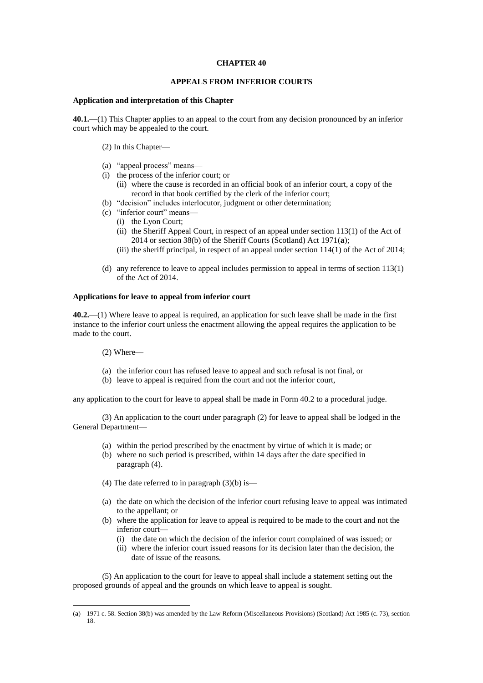### **CHAPTER 40**

#### **APPEALS FROM INFERIOR COURTS**

#### **Application and interpretation of this Chapter**

**40.1.**—(1) This Chapter applies to an appeal to the court from any decision pronounced by an inferior court which may be appealed to the court.

(2) In this Chapter—

- (a) "appeal process" means—
- (i) the process of the inferior court; or
	- (ii) where the cause is recorded in an official book of an inferior court, a copy of the record in that book certified by the clerk of the inferior court;
- (b) "decision" includes interlocutor, judgment or other determination;
- (c) "inferior court" means—
	- (i) the Lyon Court;
	- (ii) the Sheriff Appeal Court, in respect of an appeal under section 113(1) of the Act of 2014 or section 38(b) of the Sheriff Courts (Scotland) Act 1971(**a**);
	- (iii) the sheriff principal, in respect of an appeal under section 114(1) of the Act of 2014;
- (d) any reference to leave to appeal includes permission to appeal in terms of section 113(1) of the Act of 2014.

## **Applications for leave to appeal from inferior court**

**40.2.**—(1) Where leave to appeal is required, an application for such leave shall be made in the first instance to the inferior court unless the enactment allowing the appeal requires the application to be made to the court.

(2) Where—

1

- (a) the inferior court has refused leave to appeal and such refusal is not final, or
- (b) leave to appeal is required from the court and not the inferior court,

any application to the court for leave to appeal shall be made in Form 40.2 to a procedural judge.

(3) An application to the court under paragraph (2) for leave to appeal shall be lodged in the General Department-

- (a) within the period prescribed by the enactment by virtue of which it is made; or
- (b) where no such period is prescribed, within 14 days after the date specified in paragraph (4).
- (4) The date referred to in paragraph  $(3)(b)$  is—
- (a) the date on which the decision of the inferior court refusing leave to appeal was intimated to the appellant; or
- (b) where the application for leave to appeal is required to be made to the court and not the inferior court—
	- (i) the date on which the decision of the inferior court complained of was issued; or
	- (ii) where the inferior court issued reasons for its decision later than the decision, the date of issue of the reasons.

(5) An application to the court for leave to appeal shall include a statement setting out the proposed grounds of appeal and the grounds on which leave to appeal is sought.

<sup>(</sup>**a**) 1971 c. 58. Section 38(b) was amended by the Law Reform (Miscellaneous Provisions) (Scotland) Act 1985 (c. 73), section 18.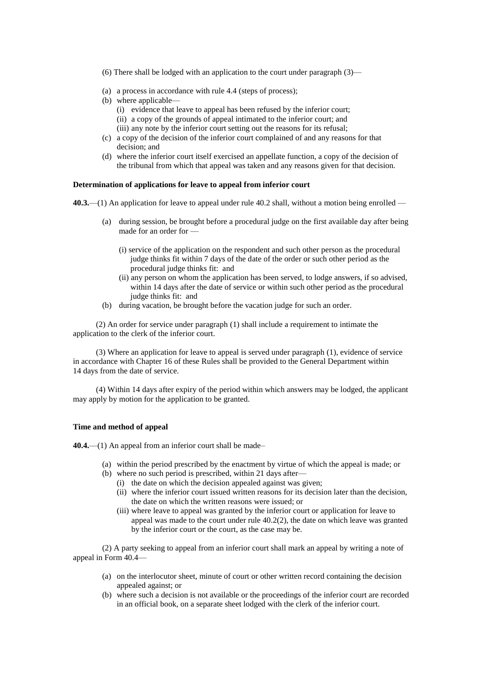- (6) There shall be lodged with an application to the court under paragraph (3)—
- (a) a process in accordance with rule 4.4 (steps of process);
- (b) where applicable—
	- (i) evidence that leave to appeal has been refused by the inferior court;
	- (ii) a copy of the grounds of appeal intimated to the inferior court; and
	- (iii) any note by the inferior court setting out the reasons for its refusal;
- (c) a copy of the decision of the inferior court complained of and any reasons for that decision; and
- (d) where the inferior court itself exercised an appellate function, a copy of the decision of the tribunal from which that appeal was taken and any reasons given for that decision.

### **Determination of applications for leave to appeal from inferior court**

**40.3.**—(1) An application for leave to appeal under rule 40.2 shall, without a motion being enrolled —

- (a) during session, be brought before a procedural judge on the first available day after being made for an order for —
	- (i) service of the application on the respondent and such other person as the procedural judge thinks fit within 7 days of the date of the order or such other period as the procedural judge thinks fit: and
	- (ii) any person on whom the application has been served, to lodge answers, if so advised, within 14 days after the date of service or within such other period as the procedural judge thinks fit: and
- (b) during vacation, be brought before the vacation judge for such an order.

(2) An order for service under paragraph (1) shall include a requirement to intimate the application to the clerk of the inferior court.

(3) Where an application for leave to appeal is served under paragraph (1), evidence of service in accordance with Chapter 16 of these Rules shall be provided to the General Department within 14 days from the date of service.

(4) Within 14 days after expiry of the period within which answers may be lodged, the applicant may apply by motion for the application to be granted.

#### **Time and method of appeal**

**40.4.**—(1) An appeal from an inferior court shall be made–

- (a) within the period prescribed by the enactment by virtue of which the appeal is made; or
- (b) where no such period is prescribed, within 21 days after—
	- (i) the date on which the decision appealed against was given;
	- (ii) where the inferior court issued written reasons for its decision later than the decision, the date on which the written reasons were issued; or
	- (iii) where leave to appeal was granted by the inferior court or application for leave to appeal was made to the court under rule 40.2(2), the date on which leave was granted by the inferior court or the court, as the case may be.

(2) A party seeking to appeal from an inferior court shall mark an appeal by writing a note of appeal in Form 40.4—

- (a) on the interlocutor sheet, minute of court or other written record containing the decision appealed against; or
- (b) where such a decision is not available or the proceedings of the inferior court are recorded in an official book, on a separate sheet lodged with the clerk of the inferior court.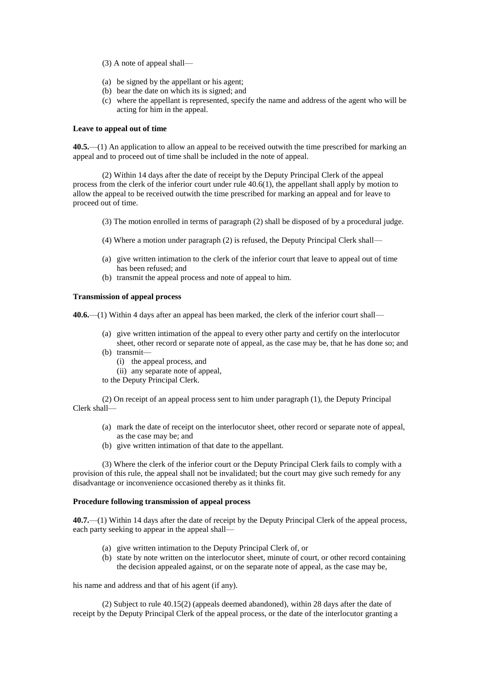- (3) A note of appeal shall—
- (a) be signed by the appellant or his agent;
- (b) bear the date on which its is signed; and
- (c) where the appellant is represented, specify the name and address of the agent who will be acting for him in the appeal.

#### **Leave to appeal out of time**

**40.5.**—(1) An application to allow an appeal to be received outwith the time prescribed for marking an appeal and to proceed out of time shall be included in the note of appeal.

(2) Within 14 days after the date of receipt by the Deputy Principal Clerk of the appeal process from the clerk of the inferior court under rule 40.6(1), the appellant shall apply by motion to allow the appeal to be received outwith the time prescribed for marking an appeal and for leave to proceed out of time.

- (3) The motion enrolled in terms of paragraph (2) shall be disposed of by a procedural judge.
- (4) Where a motion under paragraph (2) is refused, the Deputy Principal Clerk shall—
- (a) give written intimation to the clerk of the inferior court that leave to appeal out of time has been refused; and
- (b) transmit the appeal process and note of appeal to him.

## **Transmission of appeal process**

**40.6.**—(1) Within 4 days after an appeal has been marked, the clerk of the inferior court shall—

- (a) give written intimation of the appeal to every other party and certify on the interlocutor sheet, other record or separate note of appeal, as the case may be, that he has done so; and
- (b) transmit—
	- (i) the appeal process, and
	- (ii) any separate note of appeal,
- to the Deputy Principal Clerk.

(2) On receipt of an appeal process sent to him under paragraph (1), the Deputy Principal Clerk shall—

- (a) mark the date of receipt on the interlocutor sheet, other record or separate note of appeal, as the case may be; and
- (b) give written intimation of that date to the appellant.

(3) Where the clerk of the inferior court or the Deputy Principal Clerk fails to comply with a provision of this rule, the appeal shall not be invalidated; but the court may give such remedy for any disadvantage or inconvenience occasioned thereby as it thinks fit.

# **Procedure following transmission of appeal process**

**40.7.**—(1) Within 14 days after the date of receipt by the Deputy Principal Clerk of the appeal process, each party seeking to appear in the appeal shall—

- (a) give written intimation to the Deputy Principal Clerk of, or
- (b) state by note written on the interlocutor sheet, minute of court, or other record containing the decision appealed against, or on the separate note of appeal, as the case may be,

his name and address and that of his agent (if any).

(2) Subject to rule 40.15(2) (appeals deemed abandoned), within 28 days after the date of receipt by the Deputy Principal Clerk of the appeal process, or the date of the interlocutor granting a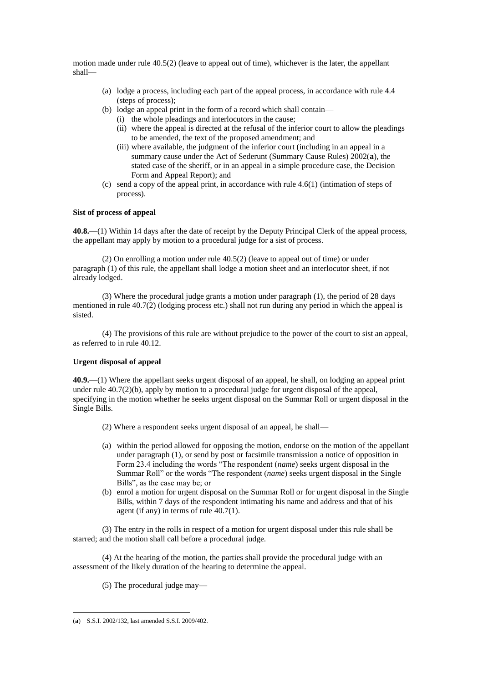motion made under rule 40.5(2) (leave to appeal out of time), whichever is the later, the appellant shall—

- (a) lodge a process, including each part of the appeal process, in accordance with rule 4.4 (steps of process);
- (b) lodge an appeal print in the form of a record which shall contain—
	- (i) the whole pleadings and interlocutors in the cause;
		- (ii) where the appeal is directed at the refusal of the inferior court to allow the pleadings to be amended, the text of the proposed amendment; and
		- (iii) where available, the judgment of the inferior court (including in an appeal in a summary cause under the Act of Sederunt (Summary Cause Rules) 2002(**a**), the stated case of the sheriff, or in an appeal in a simple procedure case, the Decision Form and Appeal Report); and
- (c) send a copy of the appeal print, in accordance with rule 4.6(1) (intimation of steps of process).

# **Sist of process of appeal**

**40.8.**—(1) Within 14 days after the date of receipt by the Deputy Principal Clerk of the appeal process, the appellant may apply by motion to a procedural judge for a sist of process.

(2) On enrolling a motion under rule 40.5(2) (leave to appeal out of time) or under paragraph (1) of this rule, the appellant shall lodge a motion sheet and an interlocutor sheet, if not already lodged.

(3) Where the procedural judge grants a motion under paragraph (1), the period of 28 days mentioned in rule 40.7(2) (lodging process etc.) shall not run during any period in which the appeal is sisted.

(4) The provisions of this rule are without prejudice to the power of the court to sist an appeal, as referred to in rule 40.12.

### **Urgent disposal of appeal**

**40.9.**—(1) Where the appellant seeks urgent disposal of an appeal, he shall, on lodging an appeal print under rule 40.7(2)(b), apply by motion to a procedural judge for urgent disposal of the appeal, specifying in the motion whether he seeks urgent disposal on the Summar Roll or urgent disposal in the Single Bills.

- (2) Where a respondent seeks urgent disposal of an appeal, he shall—
- (a) within the period allowed for opposing the motion, endorse on the motion of the appellant under paragraph (1), or send by post or facsimile transmission a notice of opposition in Form 23.4 including the words "The respondent (*name*) seeks urgent disposal in the Summar Roll" or the words "The respondent (*name*) seeks urgent disposal in the Single Bills", as the case may be; or
- (b) enrol a motion for urgent disposal on the Summar Roll or for urgent disposal in the Single Bills, within 7 days of the respondent intimating his name and address and that of his agent (if any) in terms of rule 40.7(1).

(3) The entry in the rolls in respect of a motion for urgent disposal under this rule shall be starred; and the motion shall call before a procedural judge.

(4) At the hearing of the motion, the parties shall provide the procedural judge with an assessment of the likely duration of the hearing to determine the appeal.

(5) The procedural judge may—

1

<sup>(</sup>**a**) S.S.I. 2002/132, last amended S.S.I. 2009/402.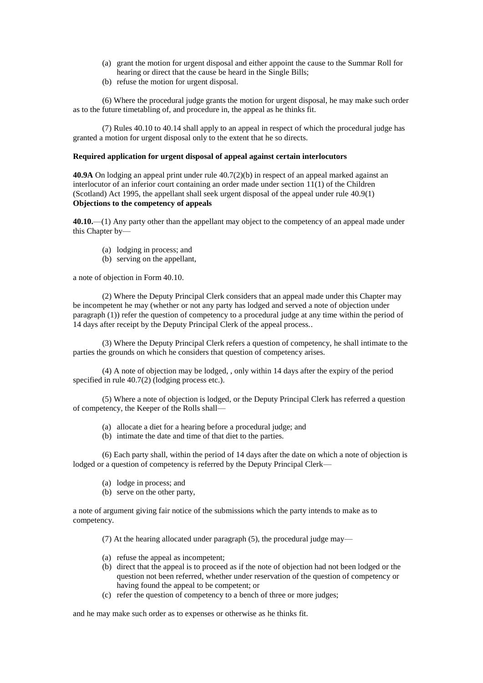- (a) grant the motion for urgent disposal and either appoint the cause to the Summar Roll for hearing or direct that the cause be heard in the Single Bills;
- (b) refuse the motion for urgent disposal.

(6) Where the procedural judge grants the motion for urgent disposal, he may make such order as to the future timetabling of, and procedure in, the appeal as he thinks fit.

(7) Rules 40.10 to 40.14 shall apply to an appeal in respect of which the procedural judge has granted a motion for urgent disposal only to the extent that he so directs.

### **Required application for urgent disposal of appeal against certain interlocutors**

**40.9A** On lodging an appeal print under rule 40.7(2)(b) in respect of an appeal marked against an interlocutor of an inferior court containing an order made under section 11(1) of the Children (Scotland) Act 1995, the appellant shall seek urgent disposal of the appeal under rule 40.9(1) **Objections to the competency of appeals**

**40.10.**—(1) Any party other than the appellant may object to the competency of an appeal made under this Chapter by—

- (a) lodging in process; and
- (b) serving on the appellant,

a note of objection in Form 40.10.

(2) Where the Deputy Principal Clerk considers that an appeal made under this Chapter may be incompetent he may (whether or not any party has lodged and served a note of objection under paragraph (1)) refer the question of competency to a procedural judge at any time within the period of 14 days after receipt by the Deputy Principal Clerk of the appeal process..

(3) Where the Deputy Principal Clerk refers a question of competency, he shall intimate to the parties the grounds on which he considers that question of competency arises.

(4) A note of objection may be lodged, , only within 14 days after the expiry of the period specified in rule 40.7(2) (lodging process etc.).

(5) Where a note of objection is lodged, or the Deputy Principal Clerk has referred a question of competency, the Keeper of the Rolls shall—

- (a) allocate a diet for a hearing before a procedural judge; and
- (b) intimate the date and time of that diet to the parties.

(6) Each party shall, within the period of 14 days after the date on which a note of objection is lodged or a question of competency is referred by the Deputy Principal Clerk—

- (a) lodge in process; and
- (b) serve on the other party,

a note of argument giving fair notice of the submissions which the party intends to make as to competency.

(7) At the hearing allocated under paragraph (5), the procedural judge may—

- (a) refuse the appeal as incompetent;
- (b) direct that the appeal is to proceed as if the note of objection had not been lodged or the question not been referred, whether under reservation of the question of competency or having found the appeal to be competent; or
- (c) refer the question of competency to a bench of three or more judges;

and he may make such order as to expenses or otherwise as he thinks fit.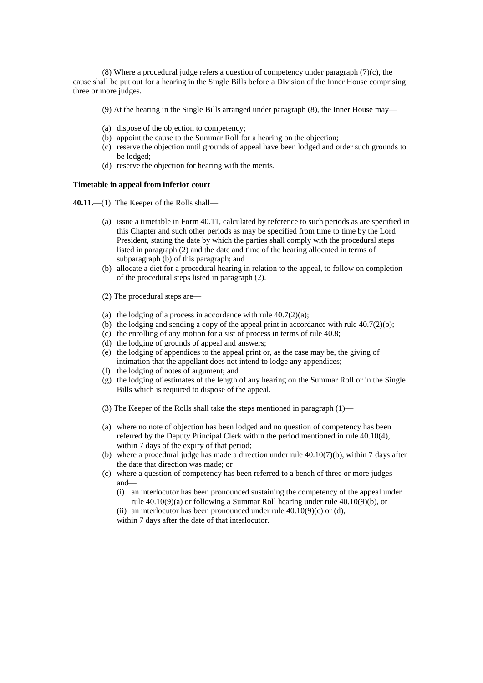(8) Where a procedural judge refers a question of competency under paragraph  $(7)(c)$ , the cause shall be put out for a hearing in the Single Bills before a Division of the Inner House comprising three or more judges.

- (9) At the hearing in the Single Bills arranged under paragraph (8), the Inner House may—
- (a) dispose of the objection to competency;
- (b) appoint the cause to the Summar Roll for a hearing on the objection;
- (c) reserve the objection until grounds of appeal have been lodged and order such grounds to be lodged;
- (d) reserve the objection for hearing with the merits.

# **Timetable in appeal from inferior court**

**40.11.**—(1) The Keeper of the Rolls shall—

- (a) issue a timetable in Form 40.11, calculated by reference to such periods as are specified in this Chapter and such other periods as may be specified from time to time by the Lord President, stating the date by which the parties shall comply with the procedural steps listed in paragraph (2) and the date and time of the hearing allocated in terms of subparagraph (b) of this paragraph; and
- (b) allocate a diet for a procedural hearing in relation to the appeal, to follow on completion of the procedural steps listed in paragraph (2).
- (2) The procedural steps are—
- (a) the lodging of a process in accordance with rule  $40.7(2)(a)$ ;
- (b) the lodging and sending a copy of the appeal print in accordance with rule  $40.7(2)(b)$ ;
- (c) the enrolling of any motion for a sist of process in terms of rule 40.8;
- (d) the lodging of grounds of appeal and answers;
- (e) the lodging of appendices to the appeal print or, as the case may be, the giving of intimation that the appellant does not intend to lodge any appendices;
- (f) the lodging of notes of argument; and
- (g) the lodging of estimates of the length of any hearing on the Summar Roll or in the Single Bills which is required to dispose of the appeal.
- (3) The Keeper of the Rolls shall take the steps mentioned in paragraph (1)—
- (a) where no note of objection has been lodged and no question of competency has been referred by the Deputy Principal Clerk within the period mentioned in rule 40.10(4), within 7 days of the expiry of that period;
- (b) where a procedural judge has made a direction under rule  $40.10(7)(b)$ , within 7 days after the date that direction was made; or
- (c) where a question of competency has been referred to a bench of three or more judges and—
	- (i) an interlocutor has been pronounced sustaining the competency of the appeal under rule 40.10(9)(a) or following a Summar Roll hearing under rule 40.10(9)(b), or
	- (ii) an interlocutor has been pronounced under rule  $40.10(9)(c)$  or (d), within 7 days after the date of that interlocutor.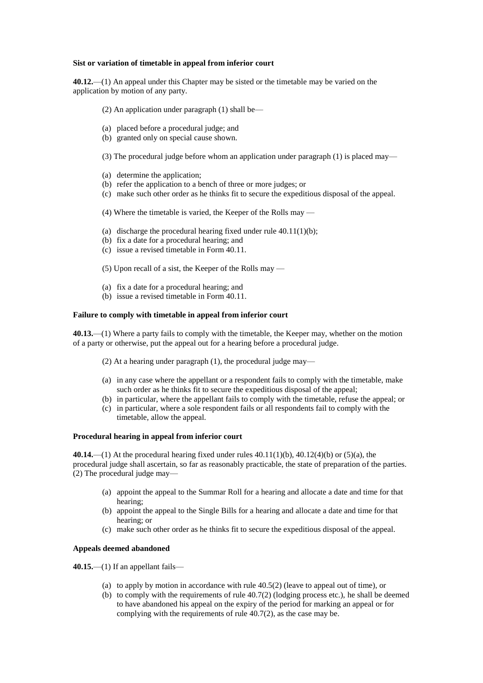### **Sist or variation of timetable in appeal from inferior court**

**40.12.**—(1) An appeal under this Chapter may be sisted or the timetable may be varied on the application by motion of any party.

- (2) An application under paragraph (1) shall be—
- (a) placed before a procedural judge; and
- (b) granted only on special cause shown.
- (3) The procedural judge before whom an application under paragraph (1) is placed may—
- (a) determine the application;
- (b) refer the application to a bench of three or more judges; or
- (c) make such other order as he thinks fit to secure the expeditious disposal of the appeal.
- (4) Where the timetable is varied, the Keeper of the Rolls may —
- (a) discharge the procedural hearing fixed under rule  $40.11(1)(b)$ ;
- (b) fix a date for a procedural hearing; and
- (c) issue a revised timetable in Form 40.11.
- (5) Upon recall of a sist, the Keeper of the Rolls may —
- (a) fix a date for a procedural hearing; and
- (b) issue a revised timetable in Form 40.11.

# **Failure to comply with timetable in appeal from inferior court**

**40.13.**—(1) Where a party fails to comply with the timetable, the Keeper may, whether on the motion of a party or otherwise, put the appeal out for a hearing before a procedural judge.

- (2) At a hearing under paragraph (1), the procedural judge may—
- (a) in any case where the appellant or a respondent fails to comply with the timetable, make such order as he thinks fit to secure the expeditious disposal of the appeal;
- (b) in particular, where the appellant fails to comply with the timetable, refuse the appeal; or
- (c) in particular, where a sole respondent fails or all respondents fail to comply with the timetable, allow the appeal.

### **Procedural hearing in appeal from inferior court**

**40.14.**—(1) At the procedural hearing fixed under rules 40.11(1)(b), 40.12(4)(b) or (5)(a), the procedural judge shall ascertain, so far as reasonably practicable, the state of preparation of the parties. (2) The procedural judge may—

- (a) appoint the appeal to the Summar Roll for a hearing and allocate a date and time for that hearing;
- (b) appoint the appeal to the Single Bills for a hearing and allocate a date and time for that hearing; or
- (c) make such other order as he thinks fit to secure the expeditious disposal of the appeal.

# **Appeals deemed abandoned**

**40.15.**—(1) If an appellant fails—

- (a) to apply by motion in accordance with rule  $40.5(2)$  (leave to appeal out of time), or
- (b) to comply with the requirements of rule  $40.7(2)$  (lodging process etc.), he shall be deemed to have abandoned his appeal on the expiry of the period for marking an appeal or for complying with the requirements of rule 40.7(2), as the case may be.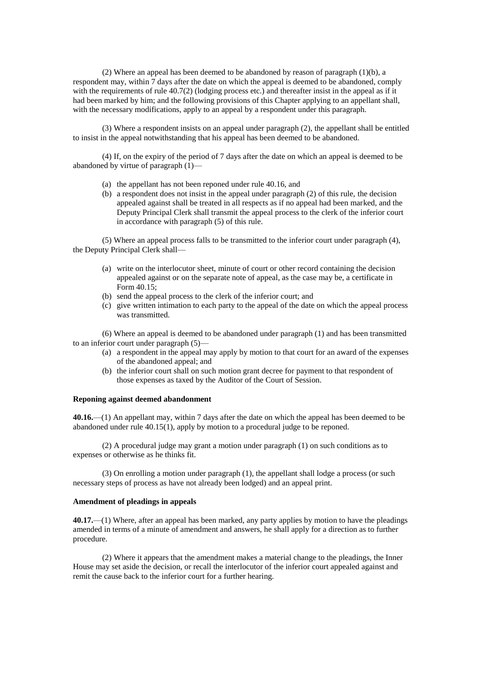(2) Where an appeal has been deemed to be abandoned by reason of paragraph (1)(b), a respondent may, within 7 days after the date on which the appeal is deemed to be abandoned, comply with the requirements of rule 40.7(2) (lodging process etc.) and thereafter insist in the appeal as if it had been marked by him; and the following provisions of this Chapter applying to an appellant shall, with the necessary modifications, apply to an appeal by a respondent under this paragraph.

(3) Where a respondent insists on an appeal under paragraph (2), the appellant shall be entitled to insist in the appeal notwithstanding that his appeal has been deemed to be abandoned.

(4) If, on the expiry of the period of 7 days after the date on which an appeal is deemed to be abandoned by virtue of paragraph (1)—

- (a) the appellant has not been reponed under rule 40.16, and
- (b) a respondent does not insist in the appeal under paragraph (2) of this rule, the decision appealed against shall be treated in all respects as if no appeal had been marked, and the Deputy Principal Clerk shall transmit the appeal process to the clerk of the inferior court in accordance with paragraph (5) of this rule.

(5) Where an appeal process falls to be transmitted to the inferior court under paragraph (4), the Deputy Principal Clerk shall—

- (a) write on the interlocutor sheet, minute of court or other record containing the decision appealed against or on the separate note of appeal, as the case may be, a certificate in Form 40.15;
- (b) send the appeal process to the clerk of the inferior court; and
- (c) give written intimation to each party to the appeal of the date on which the appeal process was transmitted.

(6) Where an appeal is deemed to be abandoned under paragraph (1) and has been transmitted to an inferior court under paragraph (5)—

- (a) a respondent in the appeal may apply by motion to that court for an award of the expenses of the abandoned appeal; and
- (b) the inferior court shall on such motion grant decree for payment to that respondent of those expenses as taxed by the Auditor of the Court of Session.

## **Reponing against deemed abandonment**

**40.16.**—(1) An appellant may, within 7 days after the date on which the appeal has been deemed to be abandoned under rule 40.15(1), apply by motion to a procedural judge to be reponed.

(2) A procedural judge may grant a motion under paragraph (1) on such conditions as to expenses or otherwise as he thinks fit.

(3) On enrolling a motion under paragraph (1), the appellant shall lodge a process (or such necessary steps of process as have not already been lodged) and an appeal print.

### **Amendment of pleadings in appeals**

**40.17.**—(1) Where, after an appeal has been marked, any party applies by motion to have the pleadings amended in terms of a minute of amendment and answers, he shall apply for a direction as to further procedure.

(2) Where it appears that the amendment makes a material change to the pleadings, the Inner House may set aside the decision, or recall the interlocutor of the inferior court appealed against and remit the cause back to the inferior court for a further hearing.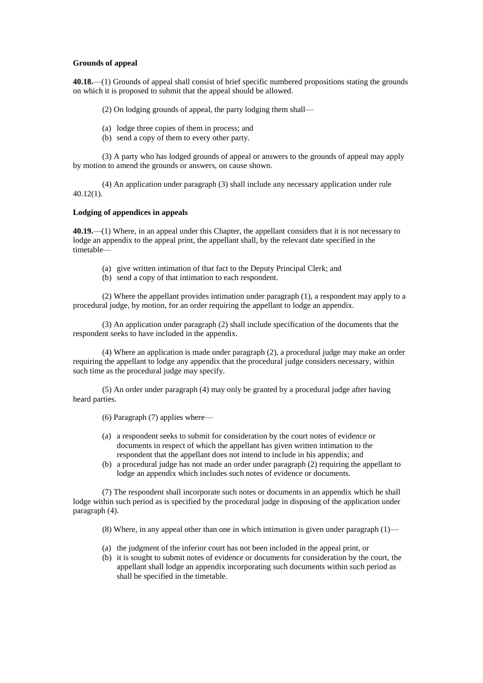### **Grounds of appeal**

**40.18.**—(1) Grounds of appeal shall consist of brief specific numbered propositions stating the grounds on which it is proposed to submit that the appeal should be allowed.

(2) On lodging grounds of appeal, the party lodging them shall—

- (a) lodge three copies of them in process; and
- (b) send a copy of them to every other party.

(3) A party who has lodged grounds of appeal or answers to the grounds of appeal may apply by motion to amend the grounds or answers, on cause shown.

(4) An application under paragraph (3) shall include any necessary application under rule 40.12(1).

# **Lodging of appendices in appeals**

**40.19.**—(1) Where, in an appeal under this Chapter, the appellant considers that it is not necessary to lodge an appendix to the appeal print, the appellant shall, by the relevant date specified in the timetable—

- (a) give written intimation of that fact to the Deputy Principal Clerk; and
- (b) send a copy of that intimation to each respondent.

(2) Where the appellant provides intimation under paragraph (1), a respondent may apply to a procedural judge, by motion, for an order requiring the appellant to lodge an appendix.

(3) An application under paragraph (2) shall include specification of the documents that the respondent seeks to have included in the appendix.

(4) Where an application is made under paragraph (2), a procedural judge may make an order requiring the appellant to lodge any appendix that the procedural judge considers necessary, within such time as the procedural judge may specify.

(5) An order under paragraph (4) may only be granted by a procedural judge after having heard parties.

(6) Paragraph (7) applies where—

- (a) a respondent seeks to submit for consideration by the court notes of evidence or documents in respect of which the appellant has given written intimation to the respondent that the appellant does not intend to include in his appendix; and
- (b) a procedural judge has not made an order under paragraph (2) requiring the appellant to lodge an appendix which includes such notes of evidence or documents.

(7) The respondent shall incorporate such notes or documents in an appendix which he shall lodge within such period as is specified by the procedural judge in disposing of the application under paragraph (4).

(8) Where, in any appeal other than one in which intimation is given under paragraph  $(1)$ —

- (a) the judgment of the inferior court has not been included in the appeal print, or
- (b) it is sought to submit notes of evidence or documents for consideration by the court, the appellant shall lodge an appendix incorporating such documents within such period as shall be specified in the timetable.